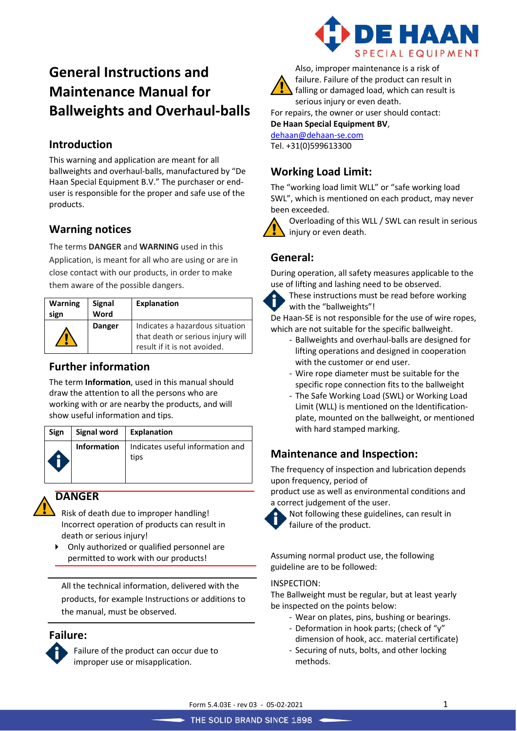# **General Instructions and Maintenance Manual for Ballweights and Overhaul-balls**

# **Introduction**

This warning and application are meant for all ballweights and overhaul-balls, manufactured by "De Haan Special Equipment B.V." The purchaser or enduser is responsible for the proper and safe use of the products.

## **Warning notices**

The terms **DANGER** and **WARNING** used in this Application, is meant for all who are using or are in close contact with our products, in order to make them aware of the possible dangers.

| <b>Warning</b><br>sign | <b>Signal</b><br>Word | <b>Explanation</b>                                                                                   |
|------------------------|-----------------------|------------------------------------------------------------------------------------------------------|
|                        | <b>Danger</b>         | Indicates a hazardous situation<br>that death or serious injury will<br>result if it is not avoided. |

### **Further information**

The term **Information**, used in this manual should draw the attention to all the persons who are working with or are nearby the products, and will show useful information and tips.

| Sign | Signal word   Explanation |                                                        |
|------|---------------------------|--------------------------------------------------------|
|      |                           | Information   Indicates useful information and<br>tips |

## **DANGER**

Risk of death due to improper handling! Incorrect operation of products can result in death or serious injury!

 Only authorized or qualified personnel are permitted to work with our products!

All the technical information, delivered with the products, for example Instructions or additions to the manual, must be observed.

#### **Failure:**



Failure of the product can occur due to improper use or misapplication.





Also, improper maintenance is a risk of failure. Failure of the product can result in falling or damaged load, which can result is serious injury or even death.

For repairs, the owner or user should contact:

**De Haan Special Equipment BV**, [dehaan@dehaan-se.com](mailto:dehaan@dehaan-se.com)

Tel. +31(0)599613300

# **Working Load Limit:**

The "working load limit WLL" or "safe working load SWL", which is mentioned on each product, may never been exceeded.



Overloading of this WLL / SWL can result in serious injury or even death.

# **General:**

During operation, all safety measures applicable to the use of lifting and lashing need to be observed.



These instructions must be read before working with the "ballweights"!

De Haan-SE is not responsible for the use of wire ropes, which are not suitable for the specific ballweight.

- Ballweights and overhaul-balls are designed for lifting operations and designed in cooperation with the customer or end user.
- Wire rope diameter must be suitable for the specific rope connection fits to the ballweight
- The Safe Working Load (SWL) or Working Load Limit (WLL) is mentioned on the Identificationplate, mounted on the ballweight, or mentioned with hard stamped marking.

# **Maintenance and Inspection:**

The frequency of inspection and lubrication depends upon frequency, period of

product use as well as environmental conditions and a correct judgement of the user.



Not following these guidelines, can result in failure of the product.

Assuming normal product use, the following guideline are to be followed:

#### INSPECTION:

The Ballweight must be regular, but at least yearly be inspected on the points below:

- Wear on plates, pins, bushing or bearings.
- Deformation in hook parts; (check of "y"
- dimension of hook, acc. material certificate)
- Securing of nuts, bolts, and other locking methods.

Form 5.4.03E - rev 03 - 05-02-2021 1

THE SOLID BRAND SINCE 1898